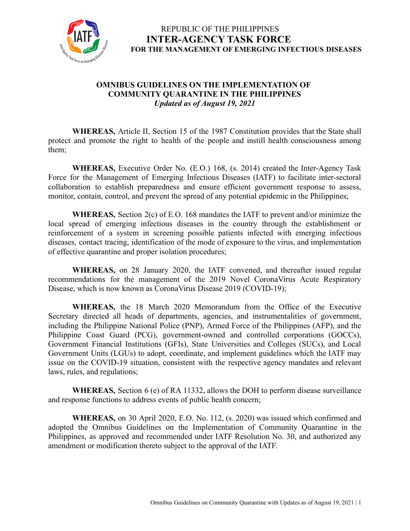

#### **OMNIBUS GUIDELINES ON THE IMPLEMENTATION OF COMMUNITY QUARANTINE IN THE PHILIPPINES** *Updated as of August 19, 2021*

**WHEREAS,** Article II, Section 15 of the 1987 Constitution provides that the State shall protect and promote the right to health of the people and instill health consciousness among them;

**WHEREAS,** Executive Order No. (E.O.) 168, (s. 2014) created the Inter-Agency Task Force for the Management of Emerging Infectious Diseases (IATF) to facilitate inter-sectoral collaboration to establish preparedness and ensure efficient government response to assess, monitor, contain, control, and prevent the spread of any potential epidemic in the Philippines;

**WHEREAS,** Section 2(c) of E.O. 168 mandates the IATF to prevent and/or minimize the local spread of emerging infectious diseases in the country through the establishment or reinforcement of a system in screening possible patients infected with emerging infectious diseases, contact tracing, identification of the mode of exposure to the virus, and implementation of effective quarantine and proper isolation procedures;

**WHEREAS,** on 28 January 2020, the IATF convened, and thereafter issued regular recommendations for the management of the 2019 Novel CoronaVirus Acute Respiratory Disease, which is now known as CoronaVirus Disease 2019 (COVID-19);

**WHEREAS,** the 18 March 2020 Memorandum from the Office of the Executive Secretary directed all heads of departments, agencies, and instrumentalities of government, including the Philippine National Police (PNP), Armed Force of the Philippines (AFP), and the Philippine Coast Guard (PCG), government-owned and controlled corporations (GOCCs), Government Financial Institutions (GFIs), State Universities and Colleges (SUCs), and Local Government Units (LGUs) to adopt, coordinate, and implement guidelines which the IATF may issue on the COVID-19 situation, consistent with the respective agency mandates and relevant laws, rules, and regulations;

**WHEREAS,** Section 6 (e) of RA 11332, allows the DOH to perform disease surveillance and response functions to address events of public health concern;

**WHEREAS,** on 30 April 2020, E.O. No. 112, (s. 2020) was issued which confirmed and adopted the Omnibus Guidelines on the Implementation of Community Quarantine in the Philippines, as approved and recommended under IATF Resolution No. 30, and authorized any amendment or modification thereto subject to the approval of the IATF.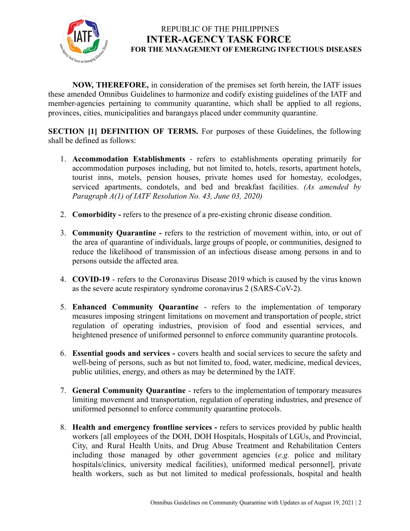

**NOW, THEREFORE,** in consideration of the premises set forth herein, the IATF issues these amended Omnibus Guidelines to harmonize and codify existing guidelines of the IATF and member-agencies pertaining to community quarantine, which shall be applied to all regions, provinces, cities, municipalities and barangays placed under community quarantine.

**SECTION [1] DEFINITION OF TERMS.** For purposes of these Guidelines, the following shall be defined as follows:

- 1. **Accommodation Establishments** refers to establishments operating primarily for accommodation purposes including, but not limited to, hotels, resorts, apartment hotels, tourist inns, motels, pension houses, private homes used for homestay, ecolodges, serviced apartments, condotels, and bed and breakfast facilities. *(As amended by Paragraph A(1) of IATF Resolution No. 43, June 03, 2020)*
- 2. **Comorbidity -** refers to the presence of a pre-existing chronic disease condition.
- 3. **Community Quarantine -** refers to the restriction of movement within, into, or out of the area of quarantine of individuals, large groups of people, or communities, designed to reduce the likelihood of transmission of an infectious disease among persons in and to persons outside the affected area.
- 4. **COVID-19** refers to the Coronavirus Disease 2019 which is caused by the virus known as the severe acute respiratory syndrome coronavirus 2 (SARS-CoV-2).
- 5. **Enhanced Community Quarantine** refers to the implementation of temporary measures imposing stringent limitations on movement and transportation of people, strict regulation of operating industries, provision of food and essential services, and heightened presence of uniformed personnel to enforce community quarantine protocols.
- 6. **Essential goods and services -** covers health and social services to secure the safety and well-being of persons, such as but not limited to, food, water, medicine, medical devices, public utilities, energy, and others as may be determined by the IATF.
- 7. **General Community Quarantine** refers to the implementation of temporary measures limiting movement and transportation, regulation of operating industries, and presence of uniformed personnel to enforce community quarantine protocols.
- 8. **Health and emergency frontline services -** refers to services provided by public health workers [all employees of the DOH, DOH Hospitals, Hospitals of LGUs, and Provincial, City, and Rural Health Units, and Drug Abuse Treatment and Rehabilitation Centers including those managed by other government agencies (*e.g.* police and military hospitals/clinics, university medical facilities), uniformed medical personnel], private health workers, such as but not limited to medical professionals, hospital and health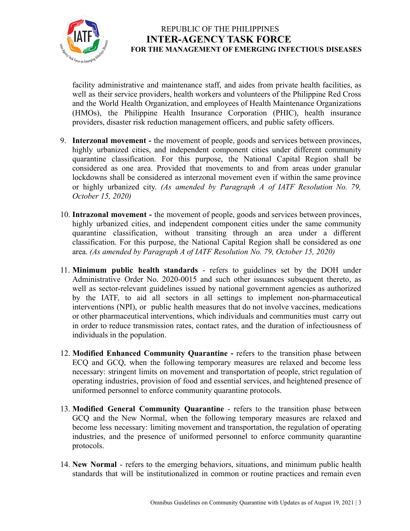

facility administrative and maintenance staff, and aides from private health facilities, as well as their service providers, health workers and volunteers of the Philippine Red Cross and the World Health Organization, and employees of Health Maintenance Organizations (HMOs), the Philippine Health Insurance Corporation (PHIC), health insurance providers, disaster risk reduction management officers, and public safety officers.

- 9. **Interzonal movement -** the movement of people, goods and services between provinces, highly urbanized cities, and independent component cities under different community quarantine classification. For this purpose, the National Capital Region shall be considered as one area. Provided that movements to and from areas under granular lockdowns shall be considered as interzonal movement even if within the same province or highly urbanized city. *(As amended by Paragraph A of IATF Resolution No. 79, October 15, 2020)*
- 10. **Intrazonal movement -** the movement of people, goods and services between provinces, highly urbanized cities, and independent component cities under the same community quarantine classification, without transiting through an area under a different classification. For this purpose, the National Capital Region shall be considered as one area. *(As amended by Paragraph A of IATF Resolution No. 79, October 15, 2020)*
- 11. **Minimum public health standards** refers to guidelines set by the DOH under Administrative Order No. 2020-0015 and such other issuances subsequent thereto, as well as sector-relevant guidelines issued by national government agencies as authorized by the IATF, to aid all sectors in all settings to implement non-pharmaceutical interventions (NPI), or public health measures that do not involve vaccines, medications or other pharmaceutical interventions, which individuals and communities must carry out in order to reduce transmission rates, contact rates, and the duration of infectiousness of individuals in the population.
- 12. **Modified Enhanced Community Quarantine -** refers to the transition phase between ECQ and GCQ, when the following temporary measures are relaxed and become less necessary: stringent limits on movement and transportation of people, strict regulation of operating industries, provision of food and essential services, and heightened presence of uniformed personnel to enforce community quarantine protocols.
- 13. **Modified General Community Quarantine** refers to the transition phase between GCQ and the New Normal, when the following temporary measures are relaxed and become less necessary: limiting movement and transportation, the regulation of operating industries, and the presence of uniformed personnel to enforce community quarantine protocols.
- 14. **New Normal** refers to the emerging behaviors, situations, and minimum public health standards that will be institutionalized in common or routine practices and remain even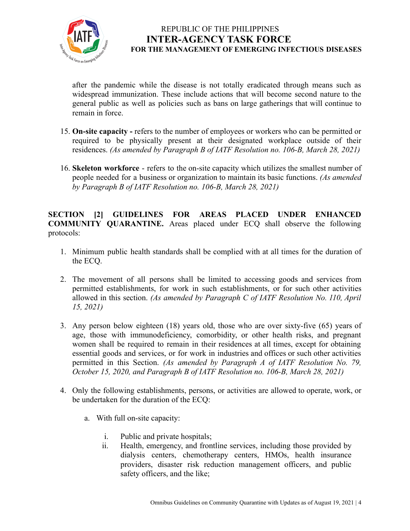

after the pandemic while the disease is not totally eradicated through means such as widespread immunization. These include actions that will become second nature to the general public as well as policies such as bans on large gatherings that will continue to remain in force.

- 15. **On-site capacity -** refers to the number of employees or workers who can be permitted or required to be physically present at their designated workplace outside of their residences. *(As amended by Paragraph B of IATF Resolution no. 106-B, March 28, 2021)*
- 16. **Skeleton workforce** refers to the on-site capacity which utilizes the [smallest](https://dictionary.cambridge.org/us/dictionary/english/small) [number](https://dictionary.cambridge.org/us/dictionary/english/number) of [people](https://dictionary.cambridge.org/us/dictionary/english/people) [needed](https://dictionary.cambridge.org/us/dictionary/english/needed) for a [business](https://dictionary.cambridge.org/us/dictionary/english/business) or [organization](https://dictionary.cambridge.org/us/dictionary/english/organization) to maintain its basic functions. *(As amended by Paragraph B of IATF Resolution no. 106-B, March 28, 2021)*

**SECTION [2] GUIDELINES FOR AREAS PLACED UNDER ENHANCED COMMUNITY QUARANTINE.** Areas placed under ECQ shall observe the following protocols:

- 1. Minimum public health standards shall be complied with at all times for the duration of the ECQ.
- 2. The movement of all persons shall be limited to accessing goods and services from permitted establishments, for work in such establishments, or for such other activities allowed in this section. *(As amended by Paragraph C of IATF Resolution No. 110, April 15, 2021)*
- 3. Any person below eighteen (18) years old, those who are over sixty-five (65) years of age, those with immunodeficiency, comorbidity, or other health risks, and pregnant women shall be required to remain in their residences at all times, except for obtaining essential goods and services, or for work in industries and offices or such other activities permitted in this Section. *(As amended by Paragraph A of IATF Resolution No. 79, October 15, 2020, and Paragraph B of IATF Resolution no. 106-B, March 28, 2021)*
- 4. Only the following establishments, persons, or activities are allowed to operate, work, or be undertaken for the duration of the ECQ:
	- a. With full on-site capacity:
		- i. Public and private hospitals;
		- ii. Health, emergency, and frontline services, including those provided by dialysis centers, chemotherapy centers, HMOs, health insurance providers, disaster risk reduction management officers, and public safety officers, and the like;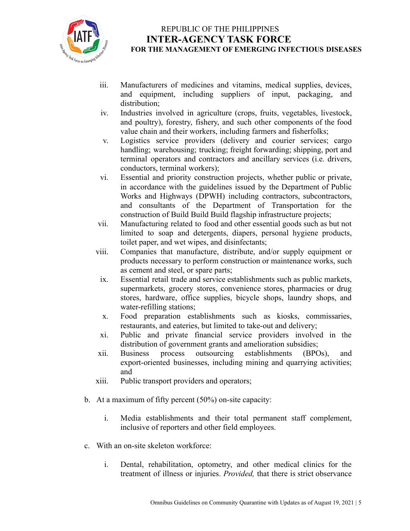

- iii. Manufacturers of medicines and vitamins, medical supplies, devices, and equipment, including suppliers of input, packaging, and distribution;
- iv. Industries involved in agriculture (crops, fruits, vegetables, livestock, and poultry), forestry, fishery, and such other components of the food value chain and their workers, including farmers and fisherfolks;
- v. Logistics service providers (delivery and courier services; cargo handling; warehousing; trucking; freight forwarding; shipping, port and terminal operators and contractors and ancillary services (i.e. drivers, conductors, terminal workers);
- vi. Essential and priority construction projects, whether public or private, in accordance with the guidelines issued by the Department of Public Works and Highways (DPWH) including contractors, subcontractors, and consultants of the Department of Transportation for the construction of Build Build Build flagship infrastructure projects;
- vii. Manufacturing related to food and other essential goods such as but not limited to soap and detergents, diapers, personal hygiene products, toilet paper, and wet wipes, and disinfectants;
- viii. Companies that manufacture, distribute, and/or supply equipment or products necessary to perform construction or maintenance works, such as cement and steel, or spare parts;
- ix. Essential retail trade and service establishments such as public markets, supermarkets, grocery stores, convenience stores, pharmacies or drug stores, hardware, office supplies, bicycle shops, laundry shops, and water-refilling stations;
- x. Food preparation establishments such as kiosks, commissaries, restaurants, and eateries, but limited to take-out and delivery;
- xi. Public and private financial service providers involved in the distribution of government grants and amelioration subsidies;
- xii. Business process outsourcing establishments (BPOs), and export-oriented businesses, including mining and quarrying activities; and
- xiii. Public transport providers and operators;
- b. At a maximum of fifty percent (50%) on-site capacity:
	- i. Media establishments and their total permanent staff complement, inclusive of reporters and other field employees.
- c. With an on-site skeleton workforce:
	- i. Dental, rehabilitation, optometry, and other medical clinics for the treatment of illness or injuries. *Provided,* that there is strict observance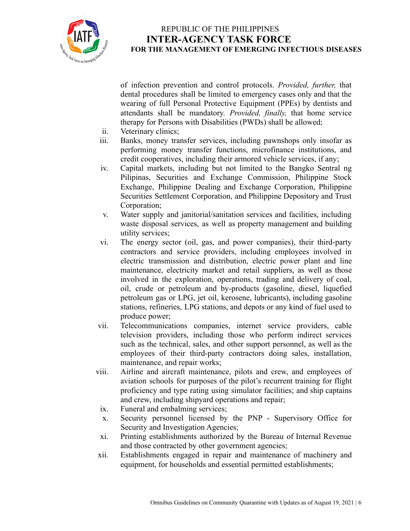

of infection prevention and control protocols. *Provided, further,* that dental procedures shall be limited to emergency cases only and that the wearing of full Personal Protective Equipment (PPEs) by dentists and attendants shall be mandatory. *Provided, finally,* that home service therapy for Persons with Disabilities (PWDs) shall be allowed;

- ii. Veterinary clinics;
- iii. Banks, money transfer services, including pawnshops only insofar as performing money transfer functions, microfinance institutions, and credit cooperatives, including their armored vehicle services, if any;
- iv. Capital markets, including but not limited to the Bangko Sentral ng Pilipinas, Securities and Exchange Commission, Philippine Stock Exchange, Philippine Dealing and Exchange Corporation, Philippine Securities Settlement Corporation, and Philippine Depository and Trust Corporation;
- v. Water supply and janitorial/sanitation services and facilities, including waste disposal services, as well as property management and building utility services;
- vi. The energy sector (oil, gas, and power companies), their third-party contractors and service providers, including employees involved in electric transmission and distribution, electric power plant and line maintenance, electricity market and retail suppliers, as well as those involved in the exploration, operations, trading and delivery of coal, oil, crude or petroleum and by-products (gasoline, diesel, liquefied petroleum gas or LPG, jet oil, kerosene, lubricants), including gasoline stations, refineries, LPG stations, and depots or any kind of fuel used to produce power;
- vii. Telecommunications companies, internet service providers, cable television providers, including those who perform indirect services such as the technical, sales, and other support personnel, as well as the employees of their third-party contractors doing sales, installation, maintenance, and repair works;
- viii. Airline and aircraft maintenance, pilots and crew, and employees of aviation schools for purposes of the pilot's recurrent training for flight proficiency and type rating using simulator facilities; and ship captains and crew, including shipyard operations and repair;
	- ix. Funeral and embalming services;
	- x. Security personnel licensed by the PNP Supervisory Office for Security and Investigation Agencies;
	- xi. Printing establishments authorized by the Bureau of Internal Revenue and those contracted by other government agencies;
- xii. Establishments engaged in repair and maintenance of machinery and equipment, for households and essential permitted establishments;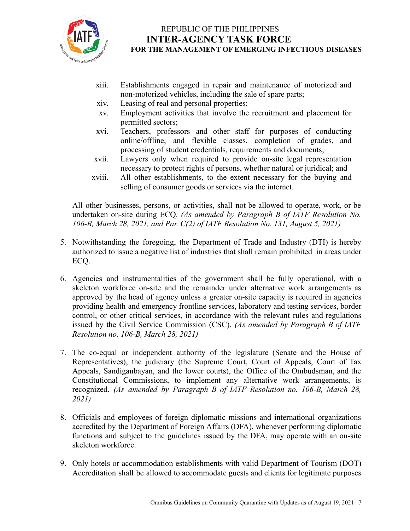

- xiii. Establishments engaged in repair and maintenance of motorized and non-motorized vehicles, including the sale of spare parts;
- xiv. Leasing of real and personal properties;
- xv. Employment activities that involve the recruitment and placement for permitted sectors;
- xvi. Teachers, professors and other staff for purposes of conducting online/offline, and flexible classes, completion of grades, and processing of student credentials, requirements and documents;
- xvii. Lawyers only when required to provide on-site legal representation necessary to protect rights of persons, whether natural or juridical; and
- xviii. All other establishments, to the extent necessary for the buying and selling of consumer goods or services via the internet.

All other businesses, persons, or activities, shall not be allowed to operate, work, or be undertaken on-site during ECQ. *(As amended by Paragraph B of IATF Resolution No. 106-B, March 28, 2021, and Par. C(2) of IATF Resolution No. 131, August 5, 2021)*

- 5. Notwithstanding the foregoing, the Department of Trade and Industry (DTI) is hereby authorized to issue a negative list of industries that shall remain prohibited in areas under ECQ.
- 6. Agencies and instrumentalities of the government shall be fully operational, with a skeleton workforce on-site and the remainder under alternative work arrangements as approved by the head of agency unless a greater on-site capacity is required in agencies providing health and emergency frontline services, laboratory and testing services, border control, or other critical services, in accordance with the relevant rules and regulations issued by the Civil Service Commission (CSC). *(As amended by Paragraph B of IATF Resolution no. 106-B, March 28, 2021)*
- 7. The co-equal or independent authority of the legislature (Senate and the House of Representatives), the judiciary (the Supreme Court, Court of Appeals, Court of Tax Appeals, Sandiganbayan, and the lower courts), the Office of the Ombudsman, and the Constitutional Commissions, to implement any alternative work arrangements, is recognized. *(As amended by Paragraph B of IATF Resolution no. 106-B, March 28, 2021)*
- 8. Officials and employees of foreign diplomatic missions and international organizations accredited by the Department of Foreign Affairs (DFA), whenever performing diplomatic functions and subject to the guidelines issued by the DFA, may operate with an on-site skeleton workforce.
- 9. Only hotels or accommodation establishments with valid Department of Tourism (DOT) Accreditation shall be allowed to accommodate guests and clients for legitimate purposes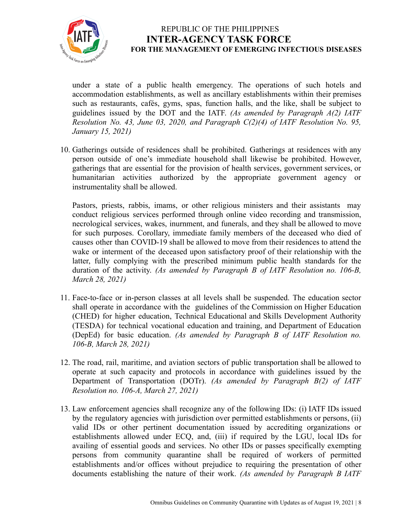

under a state of a public health emergency. The operations of such hotels and accommodation establishments, as well as ancillary establishments within their premises such as restaurants, cafés, gyms, spas, function halls, and the like, shall be subject to guidelines issued by the DOT and the IATF. *(As amended by Paragraph A(2) IATF Resolution No. 43, June 03, 2020, and Paragraph C(2)(4) of IATF Resolution No. 95, January 15, 2021)*

10. Gatherings outside of residences shall be prohibited. Gatherings at residences with any person outside of one's immediate household shall likewise be prohibited. However, gatherings that are essential for the provision of health services, government services, or humanitarian activities authorized by the appropriate government agency or instrumentality shall be allowed.

Pastors, priests, rabbis, imams, or other religious ministers and their assistants may conduct religious services performed through online video recording and transmission, necrological services, wakes, inurnment, and funerals, and they shall be allowed to move for such purposes. Corollary, immediate family members of the deceased who died of causes other than COVID-19 shall be allowed to move from their residences to attend the wake or interment of the deceased upon satisfactory proof of their relationship with the latter, fully complying with the prescribed minimum public health standards for the duration of the activity. *(As amended by Paragraph B of IATF Resolution no. 106-B, March 28, 2021)*

- 11. Face-to-face or in-person classes at all levels shall be suspended. The education sector shall operate in accordance with the guidelines of the Commission on Higher Education (CHED) for higher education, Technical Educational and Skills Development Authority (TESDA) for technical vocational education and training, and Department of Education (DepEd) for basic education. *(As amended by Paragraph B of IATF Resolution no. 106-B, March 28, 2021)*
- 12. The road, rail, maritime, and aviation sectors of public transportation shall be allowed to operate at such capacity and protocols in accordance with guidelines issued by the Department of Transportation (DOTr). *(As amended by Paragraph B(2) of IATF Resolution no. 106-A, March 27, 2021)*
- 13. Law enforcement agencies shall recognize any of the following IDs: (i) IATF IDs issued by the regulatory agencies with jurisdiction over permitted establishments or persons, (ii) valid IDs or other pertinent documentation issued by accrediting organizations or establishments allowed under ECQ, and, (iii) if required by the LGU, local IDs for availing of essential goods and services. No other IDs or passes specifically exempting persons from community quarantine shall be required of workers of permitted establishments and/or offices without prejudice to requiring the presentation of other documents establishing the nature of their work. *(As amended by Paragraph B IATF*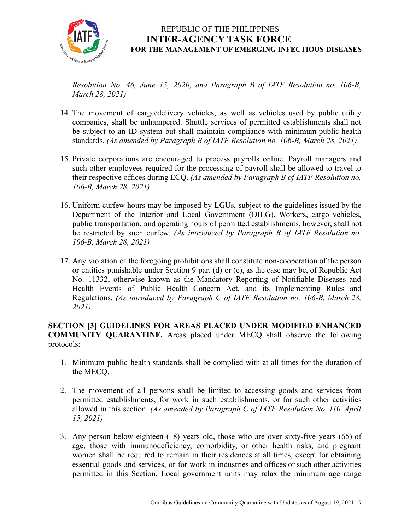

*Resolution No. 46, June 15, 2020, and Paragraph B of IATF Resolution no. 106-B, March 28, 2021)*

- 14. The movement of cargo/delivery vehicles, as well as vehicles used by public utility companies, shall be unhampered. Shuttle services of permitted establishments shall not be subject to an ID system but shall maintain compliance with minimum public health standards. *(As amended by Paragraph B of IATF Resolution no. 106-B, March 28, 2021)*
- 15. Private corporations are encouraged to process payrolls online. Payroll managers and such other employees required for the processing of payroll shall be allowed to travel to their respective offices during ECQ. *(As amended by Paragraph B of IATF Resolution no. 106-B, March 28, 2021)*
- 16. Uniform curfew hours may be imposed by LGUs, subject to the guidelines issued by the Department of the Interior and Local Government (DILG). Workers, cargo vehicles, public transportation, and operating hours of permitted establishments, however, shall not be restricted by such curfew. *(As introduced by Paragraph B of IATF Resolution no. 106-B, March 28, 2021)*
- 17. Any violation of the foregoing prohibitions shall constitute non-cooperation of the person or entities punishable under Section 9 par. (d) or (e), as the case may be, of Republic Act No. 11332, otherwise known as the Mandatory Reporting of Notifiable Diseases and Health Events of Public Health Concern Act, and its Implementing Rules and Regulations. *(As introduced by Paragraph C of IATF Resolution no. 106-B, March 28, 2021)*

**SECTION [3] GUIDELINES FOR AREAS PLACED UNDER MODIFIED ENHANCED COMMUNITY QUARANTINE.** Areas placed under MECQ shall observe the following protocols:

- 1. Minimum public health standards shall be complied with at all times for the duration of the MECQ.
- 2. The movement of all persons shall be limited to accessing goods and services from permitted establishments, for work in such establishments, or for such other activities allowed in this section. *(As amended by Paragraph C of IATF Resolution No. 110, April 15, 2021)*
- 3. Any person below eighteen (18) years old, those who are over sixty-five years (65) of age, those with immunodeficiency, comorbidity, or other health risks, and pregnant women shall be required to remain in their residences at all times, except for obtaining essential goods and services, or for work in industries and offices or such other activities permitted in this Section. Local government units may relax the minimum age range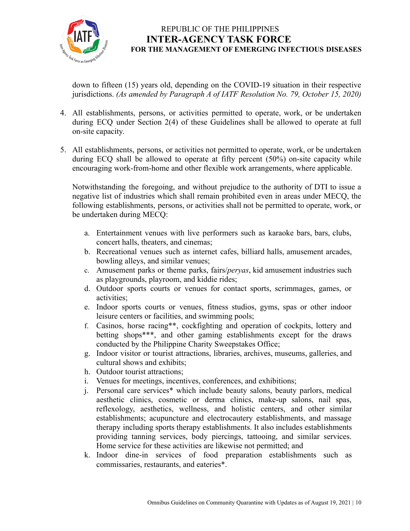

down to fifteen (15) years old, depending on the COVID-19 situation in their respective jurisdictions. *(As amended by Paragraph A of IATF Resolution No. 79, October 15, 2020)*

- 4. All establishments, persons, or activities permitted to operate, work, or be undertaken during ECQ under Section 2(4) of these Guidelines shall be allowed to operate at full on-site capacity.
- 5. All establishments, persons, or activities not permitted to operate, work, or be undertaken during ECQ shall be allowed to operate at fifty percent (50%) on-site capacity while encouraging work-from-home and other flexible work arrangements, where applicable.

Notwithstanding the foregoing, and without prejudice to the authority of DTI to issue a negative list of industries which shall remain prohibited even in areas under MECQ, the following establishments, persons, or activities shall not be permitted to operate, work, or be undertaken during MECQ:

- a. Entertainment venues with live performers such as karaoke bars, bars, clubs, concert halls, theaters, and cinemas;
- b. Recreational venues such as internet cafes, billiard halls, amusement arcades, bowling alleys, and similar venues;
- c. Amusement parks or theme parks, fairs/*peryas*, kid amusement industries such as playgrounds, playroom, and kiddie rides;
- d. Outdoor sports courts or venues for contact sports, scrimmages, games, or activities;
- e. Indoor sports courts or venues, fitness studios, gyms, spas or other indoor leisure centers or facilities, and swimming pools;
- f. Casinos, horse racing\*\*, cockfighting and operation of cockpits, lottery and betting shops\*\*\*, and other gaming establishments except for the draws conducted by the Philippine Charity Sweepstakes Office;
- g. Indoor visitor or tourist attractions, libraries, archives, museums, galleries, and cultural shows and exhibits;
- h. Outdoor tourist attractions;
- i. Venues for meetings, incentives, conferences, and exhibitions;
- j. Personal care services\* which include beauty salons, beauty parlors, medical aesthetic clinics, cosmetic or derma clinics, make-up salons, nail spas, reflexology, aesthetics, wellness, and holistic centers, and other similar establishments; acupuncture and electrocautery establishments, and massage therapy including sports therapy establishments. It also includes establishments providing tanning services, body piercings, tattooing, and similar services. Home service for these activities are likewise not permitted; and
- k. Indoor dine-in services of food preparation establishments such as commissaries, restaurants, and eateries\*.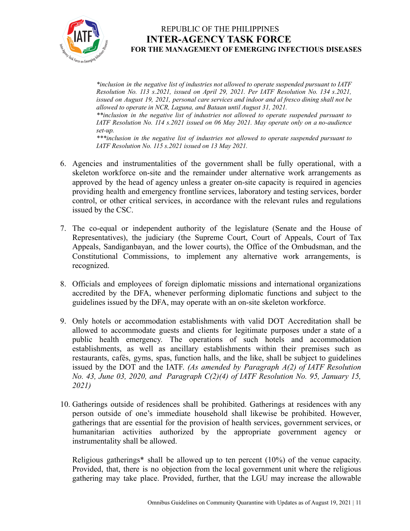

*\*inclusion in the negative list of industries not allowed to operate suspended pursuant to IATF Resolution No. 113 s.2021, issued on April 29, 2021. Per IATF Resolution No. 134 s.2021, issued on August 19, 2021, personal care services and indoor and al fresco dining shall not be allowed to operate in NCR, Laguna, and Bataan until August 31, 2021.*

*\*\*inclusion in the negative list of industries not allowed to operate suspended pursuant to IATF Resolution No. 114 s.2021 issued on 06 May 2021. May operate only on a no-audience set-up.*

*\*\*\*inclusion in the negative list of industries not allowed to operate suspended pursuant to IATF Resolution No. 115 s.2021 issued on 13 May 2021.*

- 6. Agencies and instrumentalities of the government shall be fully operational, with a skeleton workforce on-site and the remainder under alternative work arrangements as approved by the head of agency unless a greater on-site capacity is required in agencies providing health and emergency frontline services, laboratory and testing services, border control, or other critical services, in accordance with the relevant rules and regulations issued by the CSC.
- 7. The co-equal or independent authority of the legislature (Senate and the House of Representatives), the judiciary (the Supreme Court, Court of Appeals, Court of Tax Appeals, Sandiganbayan, and the lower courts), the Office of the Ombudsman, and the Constitutional Commissions, to implement any alternative work arrangements, is recognized.
- 8. Officials and employees of foreign diplomatic missions and international organizations accredited by the DFA, whenever performing diplomatic functions and subject to the guidelines issued by the DFA, may operate with an on-site skeleton workforce.
- 9. Only hotels or accommodation establishments with valid DOT Accreditation shall be allowed to accommodate guests and clients for legitimate purposes under a state of a public health emergency. The operations of such hotels and accommodation establishments, as well as ancillary establishments within their premises such as restaurants, cafés, gyms, spas, function halls, and the like, shall be subject to guidelines issued by the DOT and the IATF. *(As amended by Paragraph A(2) of IATF Resolution No. 43, June 03, 2020, and Paragraph C(2)(4) of IATF Resolution No. 95, January 15, 2021)*
- 10. Gatherings outside of residences shall be prohibited. Gatherings at residences with any person outside of one's immediate household shall likewise be prohibited. However, gatherings that are essential for the provision of health services, government services, or humanitarian activities authorized by the appropriate government agency or instrumentality shall be allowed.

Religious gatherings\* shall be allowed up to ten percent (10%) of the venue capacity. Provided, that, there is no objection from the local government unit where the religious gathering may take place. Provided, further, that the LGU may increase the allowable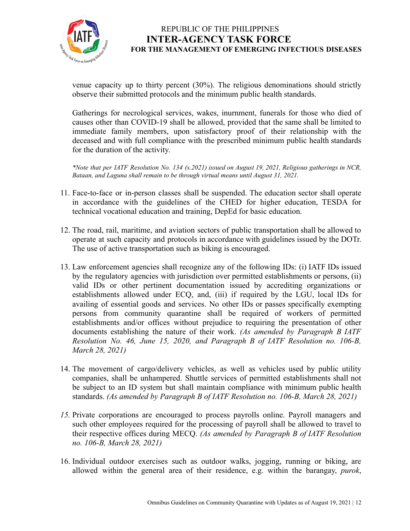

venue capacity up to thirty percent (30%). The religious denominations should strictly observe their submitted protocols and the minimum public health standards.

Gatherings for necrological services, wakes, inurnment, funerals for those who died of causes other than COVID-19 shall be allowed, provided that the same shall be limited to immediate family members, upon satisfactory proof of their relationship with the deceased and with full compliance with the prescribed minimum public health standards for the duration of the activity.

*\*Note that per IATF Resolution No. 134 (s.2021) issued on August 19, 2021, Religious gatherings in NCR, Bataan, and Laguna shall remain to be through virtual means until August 31, 2021.*

- 11. Face-to-face or in-person classes shall be suspended. The education sector shall operate in accordance with the guidelines of the CHED for higher education, TESDA for technical vocational education and training, DepEd for basic education.
- 12. The road, rail, maritime, and aviation sectors of public transportation shall be allowed to operate at such capacity and protocols in accordance with guidelines issued by the DOTr. The use of active transportation such as biking is encouraged.
- 13. Law enforcement agencies shall recognize any of the following IDs: (i) IATF IDs issued by the regulatory agencies with jurisdiction over permitted establishments or persons, (ii) valid IDs or other pertinent documentation issued by accrediting organizations or establishments allowed under ECQ, and, (iii) if required by the LGU, local IDs for availing of essential goods and services. No other IDs or passes specifically exempting persons from community quarantine shall be required of workers of permitted establishments and/or offices without prejudice to requiring the presentation of other documents establishing the nature of their work. *(As amended by Paragraph B IATF Resolution No. 46, June 15, 2020, and Paragraph B of IATF Resolution no. 106-B, March 28, 2021)*
- 14. The movement of cargo/delivery vehicles, as well as vehicles used by public utility companies, shall be unhampered. Shuttle services of permitted establishments shall not be subject to an ID system but shall maintain compliance with minimum public health standards. *(As amended by Paragraph B of IATF Resolution no. 106-B, March 28, 2021)*
- *15.* Private corporations are encouraged to process payrolls online. Payroll managers and such other employees required for the processing of payroll shall be allowed to travel to their respective offices during MECQ. *(As amended by Paragraph B of IATF Resolution no. 106-B, March 28, 2021)*
- 16. Individual outdoor exercises such as outdoor walks, jogging, running or biking, are allowed within the general area of their residence, e.g. within the barangay, *purok*,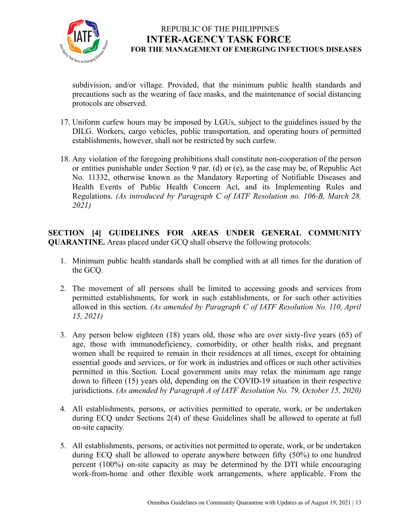

subdivision, and/or village. Provided, that the minimum public health standards and precautions such as the wearing of face masks, and the maintenance of social distancing protocols are observed.

- 17. Uniform curfew hours may be imposed by LGUs, subject to the guidelines issued by the DILG. Workers, cargo vehicles, public transportation, and operating hours of permitted establishments, however, shall not be restricted by such curfew.
- 18. Any violation of the foregoing prohibitions shall constitute non-cooperation of the person or entities punishable under Section 9 par. (d) or (e), as the case may be, of Republic Act No. 11332, otherwise known as the Mandatory Reporting of Notifiable Diseases and Health Events of Public Health Concern Act, and its Implementing Rules and Regulations. *(As introduced by Paragraph C of IATF Resolution no. 106-B, March 28, 2021)*

**SECTION [4] GUIDELINES FOR AREAS UNDER GENERAL COMMUNITY QUARANTINE.** Areas placed under GCQ shall observe the following protocols:

- 1. Minimum public health standards shall be complied with at all times for the duration of the GCQ.
- 2. The movement of all persons shall be limited to accessing goods and services from permitted establishments, for work in such establishments, or for such other activities allowed in this section. *(As amended by Paragraph C of IATF Resolution No. 110, April 15, 2021)*
- 3. Any person below eighteen (18) years old, those who are over sixty-five years (65) of age, those with immunodeficiency, comorbidity, or other health risks, and pregnant women shall be required to remain in their residences at all times, except for obtaining essential goods and services, or for work in industries and offices or such other activities permitted in this Section. Local government units may relax the minimum age range down to fifteen (15) years old, depending on the COVID-19 situation in their respective jurisdictions. *(As amended by Paragraph A of IATF Resolution No. 79, October 15, 2020)*
- 4. All establishments, persons, or activities permitted to operate, work, or be undertaken during ECQ under Sections 2(4) of these Guidelines shall be allowed to operate at full on-site capacity.
- 5. All establishments, persons, or activities not permitted to operate, work, or be undertaken during ECQ shall be allowed to operate anywhere between fifty (50%) to one hundred percent (100%) on-site capacity as may be determined by the DTI while encouraging work-from-home and other flexible work arrangements, where applicable. From the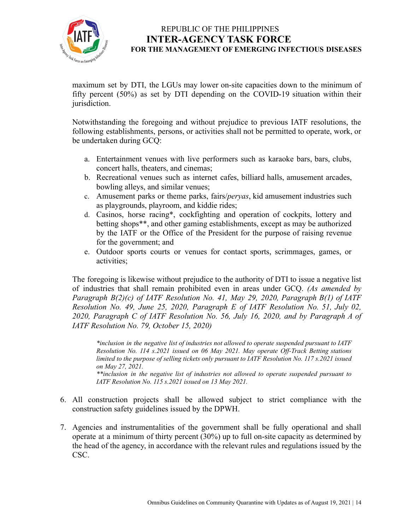

maximum set by DTI, the LGUs may lower on-site capacities down to the minimum of fifty percent (50%) as set by DTI depending on the COVID-19 situation within their jurisdiction.

Notwithstanding the foregoing and without prejudice to previous IATF resolutions, the following establishments, persons, or activities shall not be permitted to operate, work, or be undertaken during GCQ:

- a. Entertainment venues with live performers such as karaoke bars, bars, clubs, concert halls, theaters, and cinemas;
- b. Recreational venues such as internet cafes, billiard halls, amusement arcades, bowling alleys, and similar venues;
- c. Amusement parks or theme parks, fairs/*peryas*, kid amusement industries such as playgrounds, playroom, and kiddie rides;
- d. Casinos, horse racing\*, cockfighting and operation of cockpits, lottery and betting shops\*\*, and other gaming establishments, except as may be authorized by the IATF or the Office of the President for the purpose of raising revenue for the government; and
- e. Outdoor sports courts or venues for contact sports, scrimmages, games, or activities;

The foregoing is likewise without prejudice to the authority of DTI to issue a negative list of industries that shall remain prohibited even in areas under GCQ. *(As amended by Paragraph B(2)(c) of IATF Resolution No. 41, May 29, 2020, Paragraph B(1) of IATF Resolution No. 49, June 25, 2020, Paragraph E of IATF Resolution No. 51, July 02, 2020, Paragraph C of IATF Resolution No. 56, July 16, 2020, and by Paragraph A of IATF Resolution No. 79, October 15, 2020)*

*\*inclusion in the negative list of industries not allowed to operate suspended pursuant to IATF Resolution No. 114 s.2021 issued on 06 May 2021. May operate Of -Track Betting stations limited to the purpose of selling tickets only pursuant to IATF Resolution No. 117 s.2021 issued on May 27, 2021.*

*\*\*inclusion in the negative list of industries not allowed to operate suspended pursuant to IATF Resolution No. 115 s.2021 issued on 13 May 2021.*

- 6. All construction projects shall be allowed subject to strict compliance with the construction safety guidelines issued by the DPWH.
- 7. Agencies and instrumentalities of the government shall be fully operational and shall operate at a minimum of thirty percent (30%) up to full on-site capacity as determined by the head of the agency, in accordance with the relevant rules and regulations issued by the CSC.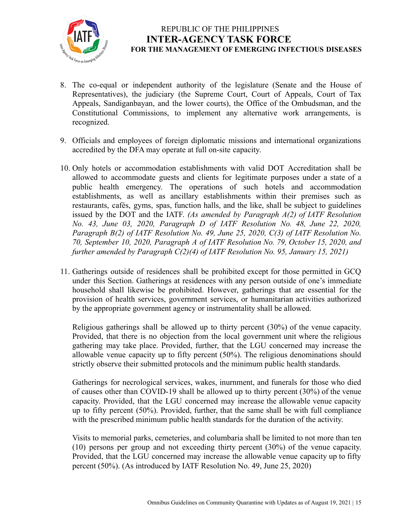

- 8. The co-equal or independent authority of the legislature (Senate and the House of Representatives), the judiciary (the Supreme Court, Court of Appeals, Court of Tax Appeals, Sandiganbayan, and the lower courts), the Office of the Ombudsman, and the Constitutional Commissions, to implement any alternative work arrangements, is recognized.
- 9. Officials and employees of foreign diplomatic missions and international organizations accredited by the DFA may operate at full on-site capacity.
- 10. Only hotels or accommodation establishments with valid DOT Accreditation shall be allowed to accommodate guests and clients for legitimate purposes under a state of a public health emergency. The operations of such hotels and accommodation establishments, as well as ancillary establishments within their premises such as restaurants, cafés, gyms, spas, function halls, and the like, shall be subject to guidelines issued by the DOT and the IATF. *(As amended by Paragraph A(2) of IATF Resolution No. 43, June 03, 2020, Paragraph D of IATF Resolution No. 48, June 22, 2020, Paragraph B(2) of IATF Resolution No. 49, June 25, 2020, C(3) of IATF Resolution No. 70, September 10, 2020, Paragraph A of IATF Resolution No. 79, October 15, 2020, and further amended by Paragraph C(2)(4) of IATF Resolution No. 95, January 15, 2021)*
- 11. Gatherings outside of residences shall be prohibited except for those permitted in GCQ under this Section. Gatherings at residences with any person outside of one's immediate household shall likewise be prohibited. However, gatherings that are essential for the provision of health services, government services, or humanitarian activities authorized by the appropriate government agency or instrumentality shall be allowed.

Religious gatherings shall be allowed up to thirty percent (30%) of the venue capacity. Provided, that there is no objection from the local government unit where the religious gathering may take place. Provided, further, that the LGU concerned may increase the allowable venue capacity up to fifty percent (50%). The religious denominations should strictly observe their submitted protocols and the minimum public health standards.

Gatherings for necrological services, wakes, inurnment, and funerals for those who died of causes other than COVID-19 shall be allowed up to thirty percent (30%) of the venue capacity. Provided, that the LGU concerned may increase the allowable venue capacity up to fifty percent (50%). Provided, further, that the same shall be with full compliance with the prescribed minimum public health standards for the duration of the activity.

Visits to memorial parks, cemeteries, and columbaria shall be limited to not more than ten (10) persons per group and not exceeding thirty percent (30%) of the venue capacity. Provided, that the LGU concerned may increase the allowable venue capacity up to fifty percent (50%). (As introduced by IATF Resolution No. 49, June 25, 2020)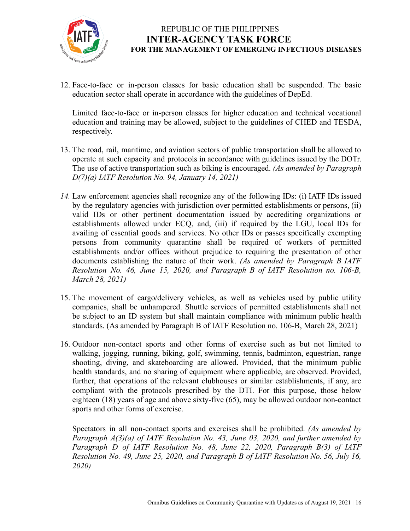

12. Face-to-face or in-person classes for basic education shall be suspended. The basic education sector shall operate in accordance with the guidelines of DepEd.

Limited face-to-face or in-person classes for higher education and technical vocational education and training may be allowed, subject to the guidelines of CHED and TESDA, respectively.

- 13. The road, rail, maritime, and aviation sectors of public transportation shall be allowed to operate at such capacity and protocols in accordance with guidelines issued by the DOTr. The use of active transportation such as biking is encouraged. *(As amended by Paragraph D(7)(a) IATF Resolution No. 94, January 14, 2021)*
- *14.* Law enforcement agencies shall recognize any of the following IDs: (i) IATF IDs issued by the regulatory agencies with jurisdiction over permitted establishments or persons, (ii) valid IDs or other pertinent documentation issued by accrediting organizations or establishments allowed under ECQ, and, (iii) if required by the LGU, local IDs for availing of essential goods and services. No other IDs or passes specifically exempting persons from community quarantine shall be required of workers of permitted establishments and/or offices without prejudice to requiring the presentation of other documents establishing the nature of their work. *(As amended by Paragraph B IATF Resolution No. 46, June 15, 2020, and Paragraph B of IATF Resolution no. 106-B, March 28, 2021)*
- 15. The movement of cargo/delivery vehicles, as well as vehicles used by public utility companies, shall be unhampered. Shuttle services of permitted establishments shall not be subject to an ID system but shall maintain compliance with minimum public health standards. (As amended by Paragraph B of IATF Resolution no. 106-B, March 28, 2021)
- 16. Outdoor non-contact sports and other forms of exercise such as but not limited to walking, jogging, running, biking, golf, swimming, tennis, badminton, equestrian, range shooting, diving, and skateboarding are allowed. Provided, that the minimum public health standards, and no sharing of equipment where applicable, are observed. Provided, further, that operations of the relevant clubhouses or similar establishments, if any, are compliant with the protocols prescribed by the DTI. For this purpose, those below eighteen (18) years of age and above sixty-five (65), may be allowed outdoor non-contact sports and other forms of exercise.

Spectators in all non-contact sports and exercises shall be prohibited. *(As amended by Paragraph A(3)(a) of IATF Resolution No. 43, June 03, 2020, and further amended by Paragraph D of IATF Resolution No. 48, June 22, 2020, Paragraph B(3) of IATF Resolution No. 49, June 25, 2020, and Paragraph B of IATF Resolution No. 56, July 16, 2020)*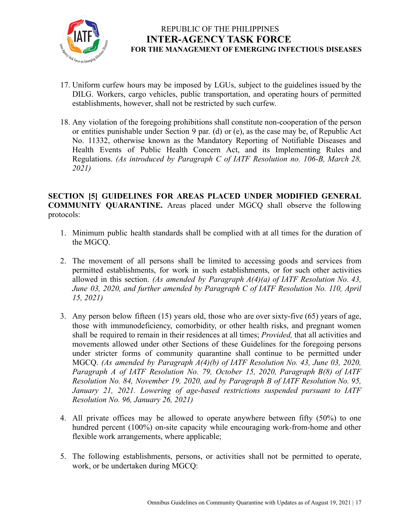

- 17. Uniform curfew hours may be imposed by LGUs, subject to the guidelines issued by the DILG. Workers, cargo vehicles, public transportation, and operating hours of permitted establishments, however, shall not be restricted by such curfew.
- 18. Any violation of the foregoing prohibitions shall constitute non-cooperation of the person or entities punishable under Section 9 par. (d) or (e), as the case may be, of Republic Act No. 11332, otherwise known as the Mandatory Reporting of Notifiable Diseases and Health Events of Public Health Concern Act, and its Implementing Rules and Regulations. *(As introduced by Paragraph C of IATF Resolution no. 106-B, March 28, 2021)*

**SECTION [5] GUIDELINES FOR AREAS PLACED UNDER MODIFIED GENERAL COMMUNITY QUARANTINE.** Areas placed under MGCQ shall observe the following protocols:

- 1. Minimum public health standards shall be complied with at all times for the duration of the MGCQ.
- 2. The movement of all persons shall be limited to accessing goods and services from permitted establishments, for work in such establishments, or for such other activities allowed in this section. *(As amended by Paragraph A(4)(a) of IATF Resolution No. 43, June 03, 2020, and further amended by Paragraph C of IATF Resolution No. 110, April 15, 2021)*
- 3. Any person below fifteen (15) years old, those who are over sixty-five (65) years of age, those with immunodeficiency, comorbidity, or other health risks, and pregnant women shall be required to remain in their residences at all times; *Provided,* that all activities and movements allowed under other Sections of these Guidelines for the foregoing persons under stricter forms of community quarantine shall continue to be permitted under MGCQ. *(As amended by Paragraph A(4)(b) of IATF Resolution No. 43, June 03, 2020, Paragraph A of IATF Resolution No. 79, October 15, 2020, Paragraph B(8) of IATF Resolution No. 84, November 19, 2020, and by Paragraph B of IATF Resolution No. 95, January 21, 2021. Lowering of age-based restrictions suspended pursuant to IATF Resolution No. 96, January 26, 2021)*
- 4. All private offices may be allowed to operate anywhere between fifty (50%) to one hundred percent (100%) on-site capacity while encouraging work-from-home and other flexible work arrangements, where applicable;
- 5. The following establishments, persons, or activities shall not be permitted to operate, work, or be undertaken during MGCQ: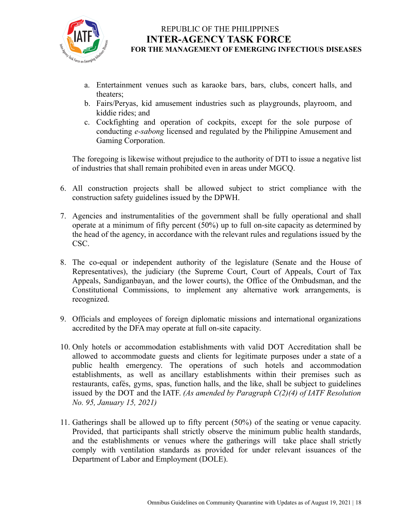

- a. Entertainment venues such as karaoke bars, bars, clubs, concert halls, and theaters;
- b. Fairs/Peryas, kid amusement industries such as playgrounds, playroom, and kiddie rides; and
- c. Cockfighting and operation of cockpits, except for the sole purpose of conducting *e-sabong* licensed and regulated by the Philippine Amusement and Gaming Corporation.

The foregoing is likewise without prejudice to the authority of DTI to issue a negative list of industries that shall remain prohibited even in areas under MGCQ.

- 6. All construction projects shall be allowed subject to strict compliance with the construction safety guidelines issued by the DPWH.
- 7. Agencies and instrumentalities of the government shall be fully operational and shall operate at a minimum of fifty percent (50%) up to full on-site capacity as determined by the head of the agency, in accordance with the relevant rules and regulations issued by the CSC.
- 8. The co-equal or independent authority of the legislature (Senate and the House of Representatives), the judiciary (the Supreme Court, Court of Appeals, Court of Tax Appeals, Sandiganbayan, and the lower courts), the Office of the Ombudsman, and the Constitutional Commissions, to implement any alternative work arrangements, is recognized.
- 9. Officials and employees of foreign diplomatic missions and international organizations accredited by the DFA may operate at full on-site capacity.
- 10. Only hotels or accommodation establishments with valid DOT Accreditation shall be allowed to accommodate guests and clients for legitimate purposes under a state of a public health emergency. The operations of such hotels and accommodation establishments, as well as ancillary establishments within their premises such as restaurants, cafés, gyms, spas, function halls, and the like, shall be subject to guidelines issued by the DOT and the IATF. *(As amended by Paragraph C(2)(4) of IATF Resolution No. 95, January 15, 2021)*
- 11. Gatherings shall be allowed up to fifty percent (50%) of the seating or venue capacity. Provided, that participants shall strictly observe the minimum public health standards, and the establishments or venues where the gatherings will take place shall strictly comply with ventilation standards as provided for under relevant issuances of the Department of Labor and Employment (DOLE).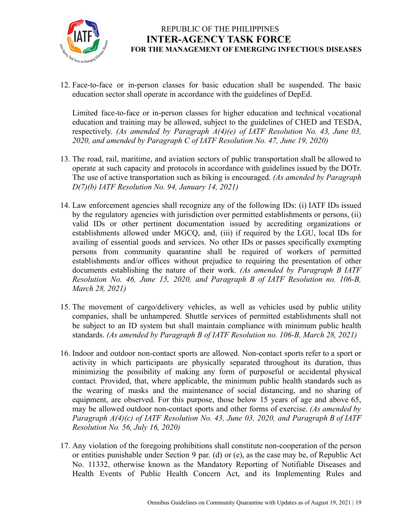

12. Face-to-face or in-person classes for basic education shall be suspended. The basic education sector shall operate in accordance with the guidelines of DepEd.

Limited face-to-face or in-person classes for higher education and technical vocational education and training may be allowed, subject to the guidelines of CHED and TESDA, respectively. *(As amended by Paragraph A(4)(e) of IATF Resolution No. 43, June 03, 2020, and amended by Paragraph C of IATF Resolution No. 47, June 19, 2020)*

- 13. The road, rail, maritime, and aviation sectors of public transportation shall be allowed to operate at such capacity and protocols in accordance with guidelines issued by the DOTr. The use of active transportation such as biking is encouraged. *(As amended by Paragraph D(7)(b) IATF Resolution No. 94, January 14, 2021)*
- 14. Law enforcement agencies shall recognize any of the following IDs: (i) IATF IDs issued by the regulatory agencies with jurisdiction over permitted establishments or persons, (ii) valid IDs or other pertinent documentation issued by accrediting organizations or establishments allowed under MGCQ, and, (iii) if required by the LGU, local IDs for availing of essential goods and services. No other IDs or passes specifically exempting persons from community quarantine shall be required of workers of permitted establishments and/or offices without prejudice to requiring the presentation of other documents establishing the nature of their work. *(As amended by Paragraph B IATF Resolution No. 46, June 15, 2020, and Paragraph B of IATF Resolution no. 106-B, March 28, 2021)*
- 15. The movement of cargo/delivery vehicles, as well as vehicles used by public utility companies, shall be unhampered. Shuttle services of permitted establishments shall not be subject to an ID system but shall maintain compliance with minimum public health standards. *(As amended by Paragraph B of IATF Resolution no. 106-B, March 28, 2021)*
- 16. Indoor and outdoor non-contact sports are allowed. Non-contact sports refer to a sport or activity in which participants are physically separated throughout its duration, thus minimizing the possibility of making any form of purposeful or accidental physical contact*.* Provided, that, where applicable, the minimum public health standards such as the wearing of masks and the maintenance of social distancing, and no sharing of equipment, are observed. For this purpose, those below 15 years of age and above 65, may be allowed outdoor non-contact sports and other forms of exercise. *(As amended by Paragraph A(4)(c) of IATF Resolution No. 43, June 03, 2020, and Paragraph B of IATF Resolution No. 56, July 16, 2020)*
- 17. Any violation of the foregoing prohibitions shall constitute non-cooperation of the person or entities punishable under Section 9 par. (d) or (e), as the case may be, of Republic Act No. 11332, otherwise known as the Mandatory Reporting of Notifiable Diseases and Health Events of Public Health Concern Act, and its Implementing Rules and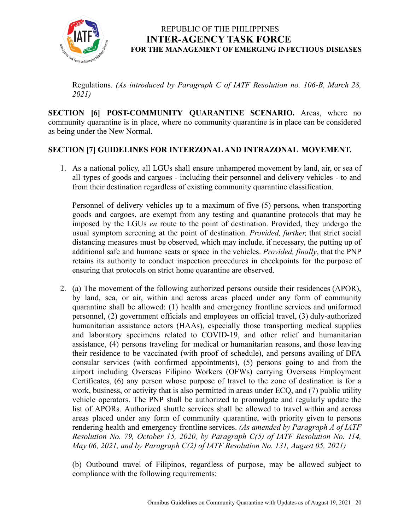

Regulations. *(As introduced by Paragraph C of IATF Resolution no. 106-B, March 28, 2021)*

**SECTION [6] POST-COMMUNITY QUARANTINE SCENARIO.** Areas, where no community quarantine is in place, where no community quarantine is in place can be considered as being under the New Normal.

#### **SECTION [7] GUIDELINES FOR INTERZONAL AND INTRAZONAL MOVEMENT.**

1. As a national policy, all LGUs shall ensure unhampered movement by land, air, or sea of all types of goods and cargoes - including their personnel and delivery vehicles - to and from their destination regardless of existing community quarantine classification.

Personnel of delivery vehicles up to a maximum of five (5) persons, when transporting goods and cargoes, are exempt from any testing and quarantine protocols that may be imposed by the LGUs *en* route to the point of destination. Provided, they undergo the usual symptom screening at the point of destination. *Provided, further,* that strict social distancing measures must be observed, which may include, if necessary, the putting up of additional safe and humane seats or space in the vehicles. *Provided, finally*, that the PNP retains its authority to conduct inspection procedures in checkpoints for the purpose of ensuring that protocols on strict home quarantine are observed.

2. (a) The movement of the following authorized persons outside their residences (APOR), by land, sea, or air, within and across areas placed under any form of community quarantine shall be allowed: (1) health and emergency frontline services and uniformed personnel, (2) government officials and employees on official travel, (3) duly-authorized humanitarian assistance actors (HAAs), especially those transporting medical supplies and laboratory specimens related to COVID-19, and other relief and humanitarian assistance, (4) persons traveling for medical or humanitarian reasons, and those leaving their residence to be vaccinated (with proof of schedule), and persons availing of DFA consular services (with confirmed appointments), (5) persons going to and from the airport including Overseas Filipino Workers (OFWs) carrying Overseas Employment Certificates, (6) any person whose purpose of travel to the zone of destination is for a work, business, or activity that is also permitted in areas under ECQ, and (7) public utility vehicle operators. The PNP shall be authorized to promulgate and regularly update the list of APORs. Authorized shuttle services shall be allowed to travel within and across areas placed under any form of community quarantine, with priority given to persons rendering health and emergency frontline services. *(As amended by Paragraph A of IATF Resolution No. 79, October 15, 2020, by Paragraph C(5) of IATF Resolution No. 114, May 06, 2021, and by Paragraph C(2) of IATF Resolution No. 131, August 05, 2021)*

(b) Outbound travel of Filipinos, regardless of purpose, may be allowed subject to compliance with the following requirements: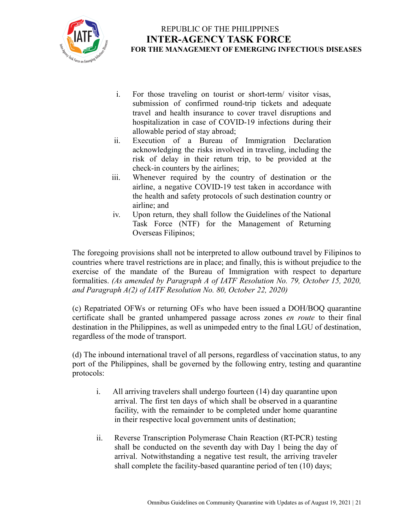

- i. For those traveling on tourist or short-term/ visitor visas, submission of confirmed round-trip tickets and adequate travel and health insurance to cover travel disruptions and hospitalization in case of COVID-19 infections during their allowable period of stay abroad;
- ii. Execution of a Bureau of Immigration Declaration acknowledging the risks involved in traveling, including the risk of delay in their return trip, to be provided at the check-in counters by the airlines;
- iii. Whenever required by the country of destination or the airline, a negative COVID-19 test taken in accordance with the health and safety protocols of such destination country or airline; and
- iv. Upon return, they shall follow the Guidelines of the National Task Force (NTF) for the Management of Returning Overseas Filipinos;

The foregoing provisions shall not be interpreted to allow outbound travel by Filipinos to countries where travel restrictions are in place; and finally, this is without prejudice to the exercise of the mandate of the Bureau of Immigration with respect to departure formalities. *(As amended by Paragraph A of IATF Resolution No. 79, October 15, 2020, and Paragraph A(2) of IATF Resolution No. 80, October 22, 2020)*

(c) Repatriated OFWs or returning OFs who have been issued a DOH/BOQ quarantine certificate shall be granted unhampered passage across zones *en route* to their final destination in the Philippines, as well as unimpeded entry to the final LGU of destination, regardless of the mode of transport.

(d) The inbound international travel of all persons, regardless of vaccination status, to any port of the Philippines, shall be governed by the following entry, testing and quarantine protocols:

- i. All arriving travelers shall undergo fourteen (14) day quarantine upon arrival. The first ten days of which shall be observed in a quarantine facility, with the remainder to be completed under home quarantine in their respective local government units of destination;
- ii. Reverse Transcription Polymerase Chain Reaction (RT-PCR) testing shall be conducted on the seventh day with Day 1 being the day of arrival. Notwithstanding a negative test result, the arriving traveler shall complete the facility-based quarantine period of ten (10) days;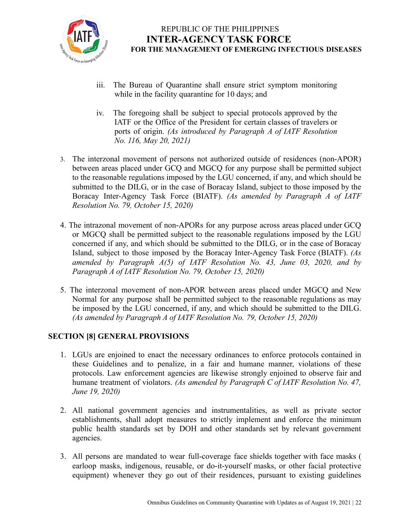

- iii. The Bureau of Quarantine shall ensure strict symptom monitoring while in the facility quarantine for 10 days; and
- iv. The foregoing shall be subject to special protocols approved by the IATF or the Office of the President for certain classes of travelers or ports of origin. *(As introduced by Paragraph A of IATF Resolution No. 116, May 20, 2021)*
- 3. The interzonal movement of persons not authorized outside of residences (non-APOR) between areas placed under GCQ and MGCQ for any purpose shall be permitted subject to the reasonable regulations imposed by the LGU concerned, if any, and which should be submitted to the DILG, or in the case of Boracay Island, subject to those imposed by the Boracay Inter-Agency Task Force (BIATF). *(As amended by Paragraph A of IATF Resolution No. 79, October 15, 2020)*
- 4. The intrazonal movement of non-APORs for any purpose across areas placed under GCQ or MGCQ shall be permitted subject to the reasonable regulations imposed by the LGU concerned if any, and which should be submitted to the DILG, or in the case of Boracay Island, subject to those imposed by the Boracay Inter-Agency Task Force (BIATF). *(As amended by Paragraph A(5) of IATF Resolution No. 43, June 03, 2020, and by Paragraph A of IATF Resolution No. 79, October 15, 2020)*
- 5. The interzonal movement of non-APOR between areas placed under MGCQ and New Normal for any purpose shall be permitted subject to the reasonable regulations as may be imposed by the LGU concerned, if any, and which should be submitted to the DILG. *(As amended by Paragraph A of IATF Resolution No. 79, October 15, 2020)*

### **SECTION [8] GENERAL PROVISIONS**

- 1. LGUs are enjoined to enact the necessary ordinances to enforce protocols contained in these Guidelines and to penalize, in a fair and humane manner, violations of these protocols. Law enforcement agencies are likewise strongly enjoined to observe fair and humane treatment of violators. *(As amended by Paragraph C of IATF Resolution No. 47, June 19, 2020)*
- 2. All national government agencies and instrumentalities, as well as private sector establishments, shall adopt measures to strictly implement and enforce the minimum public health standards set by DOH and other standards set by relevant government agencies.
- 3. All persons are mandated to wear full-coverage face shields together with face masks ( earloop masks, indigenous, reusable, or do-it-yourself masks, or other facial protective equipment) whenever they go out of their residences, pursuant to existing guidelines